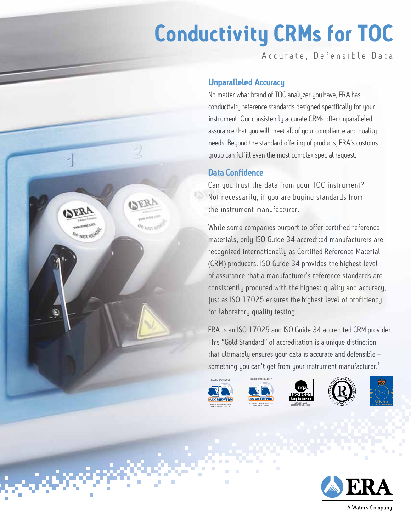## **Conductivity CRMs for TOC**

Accurate, Defensible Data

## Unparalleled Accuracy

No matter what brand of TOC analyzer you have, ERA has conductivity reference standards designed specifically for your instrument. Our consistently accurate CRMs offer unparalleled assurance that you will meet all of your compliance and quality needs. Beyond the standard offering of products, ERA's customs group can fulfill even the most complex special request.

## Data Confidence

2

OERA

**PO NOT SE** 

OERI

**OO NOT REAS** 

Can you trust the data from your TOC instrument? Not necessarily, if you are buying standards from the instrument manufacturer.

While some companies purport to offer certified reference materials, only ISO Guide 34 accredited manufacturers are recognized internationally as Certified Reference Material (CRM) producers. ISO Guide 34 provides the highest level of assurance that a manufacturer's reference standards are consistently produced with the highest quality and accuracy, just as ISO 17025 ensures the highest level of proficiency for laboratory quality testing.

ERA is an ISO 17025 and ISO Guide 34 accredited CRM provider. This "Gold Standard" of accreditation is a unique distinction that ultimately ensures your data is accurate and defensible – something you can't get from your instrument manufacturer.<sup>1</sup>













A Waters Company